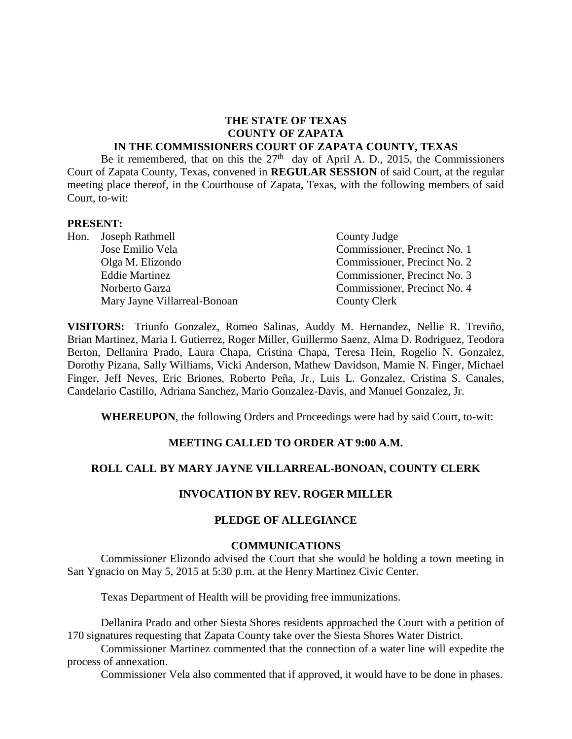#### **THE STATE OF TEXAS COUNTY OF ZAPATA IN THE COMMISSIONERS COURT OF ZAPATA COUNTY, TEXAS**

Be it remembered, that on this the  $27<sup>th</sup>$  day of April A. D., 2015, the Commissioners Court of Zapata County, Texas, convened in **REGULAR SESSION** of said Court, at the regular meeting place thereof, in the Courthouse of Zapata, Texas, with the following members of said Court, to-wit:

#### **PRESENT:**

|  | Hon. Joseph Rathmell         | County Judge                 |  |
|--|------------------------------|------------------------------|--|
|  | Jose Emilio Vela             | Commissioner, Precinct No. 1 |  |
|  | Olga M. Elizondo             | Commissioner, Precinct No. 2 |  |
|  | <b>Eddie Martinez</b>        | Commissioner, Precinct No. 3 |  |
|  | Norberto Garza               | Commissioner, Precinct No. 4 |  |
|  | Mary Jayne Villarreal-Bonoan | County Clerk                 |  |

**VISITORS:** Triunfo Gonzalez, Romeo Salinas, Auddy M. Hernandez, Nellie R. Treviño, Brian Martinez, Maria I. Gutierrez, Roger Miller, Guillermo Saenz, Alma D. Rodriguez, Teodora Berton, Dellanira Prado, Laura Chapa, Cristina Chapa, Teresa Hein, Rogelio N. Gonzalez, Dorothy Pizana, Sally Williams, Vicki Anderson, Mathew Davidson, Mamie N. Finger, Michael Finger, Jeff Neves, Eric Briones, Roberto Peña, Jr., Luis L. Gonzalez, Cristina S. Canales, Candelario Castillo, Adriana Sanchez, Mario Gonzalez-Davis, and Manuel Gonzalez, Jr.

**WHEREUPON**, the following Orders and Proceedings were had by said Court, to-wit:

#### **MEETING CALLED TO ORDER AT 9:00 A.M.**

#### **ROLL CALL BY MARY JAYNE VILLARREAL-BONOAN, COUNTY CLERK**

#### **INVOCATION BY REV. ROGER MILLER**

#### **PLEDGE OF ALLEGIANCE**

#### **COMMUNICATIONS**

Commissioner Elizondo advised the Court that she would be holding a town meeting in San Ygnacio on May 5, 2015 at 5:30 p.m. at the Henry Martinez Civic Center.

Texas Department of Health will be providing free immunizations.

Dellanira Prado and other Siesta Shores residents approached the Court with a petition of 170 signatures requesting that Zapata County take over the Siesta Shores Water District.

Commissioner Martinez commented that the connection of a water line will expedite the process of annexation.

Commissioner Vela also commented that if approved, it would have to be done in phases.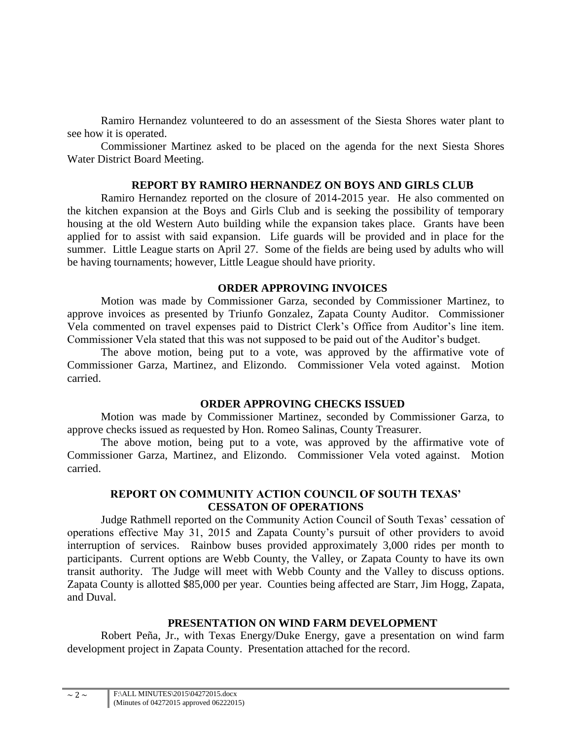Ramiro Hernandez volunteered to do an assessment of the Siesta Shores water plant to see how it is operated.

Commissioner Martinez asked to be placed on the agenda for the next Siesta Shores Water District Board Meeting.

#### **REPORT BY RAMIRO HERNANDEZ ON BOYS AND GIRLS CLUB**

Ramiro Hernandez reported on the closure of 2014-2015 year. He also commented on the kitchen expansion at the Boys and Girls Club and is seeking the possibility of temporary housing at the old Western Auto building while the expansion takes place. Grants have been applied for to assist with said expansion. Life guards will be provided and in place for the summer. Little League starts on April 27. Some of the fields are being used by adults who will be having tournaments; however, Little League should have priority.

# **ORDER APPROVING INVOICES**

Motion was made by Commissioner Garza, seconded by Commissioner Martinez, to approve invoices as presented by Triunfo Gonzalez, Zapata County Auditor. Commissioner Vela commented on travel expenses paid to District Clerk's Office from Auditor's line item. Commissioner Vela stated that this was not supposed to be paid out of the Auditor's budget.

The above motion, being put to a vote, was approved by the affirmative vote of Commissioner Garza, Martinez, and Elizondo. Commissioner Vela voted against. Motion carried.

# **ORDER APPROVING CHECKS ISSUED**

Motion was made by Commissioner Martinez, seconded by Commissioner Garza, to approve checks issued as requested by Hon. Romeo Salinas, County Treasurer.

The above motion, being put to a vote, was approved by the affirmative vote of Commissioner Garza, Martinez, and Elizondo. Commissioner Vela voted against. Motion carried.

## **REPORT ON COMMUNITY ACTION COUNCIL OF SOUTH TEXAS' CESSATON OF OPERATIONS**

Judge Rathmell reported on the Community Action Council of South Texas' cessation of operations effective May 31, 2015 and Zapata County's pursuit of other providers to avoid interruption of services. Rainbow buses provided approximately 3,000 rides per month to participants. Current options are Webb County, the Valley, or Zapata County to have its own transit authority. The Judge will meet with Webb County and the Valley to discuss options. Zapata County is allotted \$85,000 per year. Counties being affected are Starr, Jim Hogg, Zapata, and Duval.

# **PRESENTATION ON WIND FARM DEVELOPMENT**

Robert Peña, Jr., with Texas Energy/Duke Energy, gave a presentation on wind farm development project in Zapata County. Presentation attached for the record.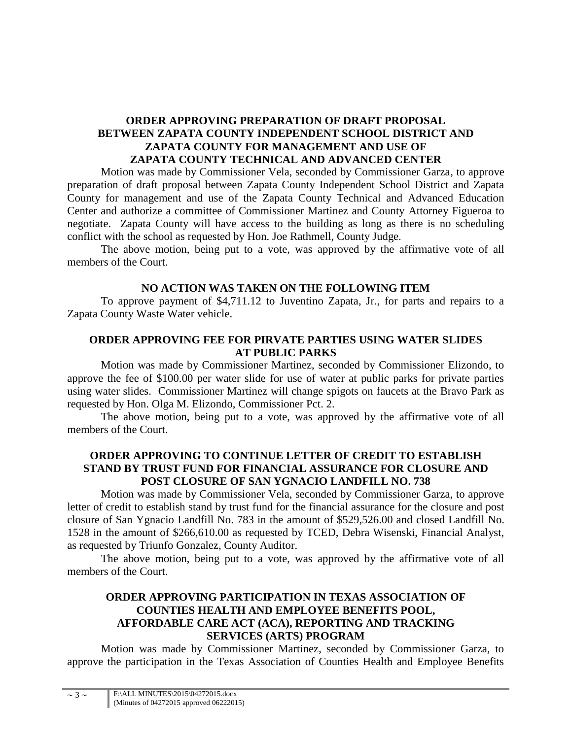## **ORDER APPROVING PREPARATION OF DRAFT PROPOSAL BETWEEN ZAPATA COUNTY INDEPENDENT SCHOOL DISTRICT AND ZAPATA COUNTY FOR MANAGEMENT AND USE OF ZAPATA COUNTY TECHNICAL AND ADVANCED CENTER**

Motion was made by Commissioner Vela, seconded by Commissioner Garza, to approve preparation of draft proposal between Zapata County Independent School District and Zapata County for management and use of the Zapata County Technical and Advanced Education Center and authorize a committee of Commissioner Martinez and County Attorney Figueroa to negotiate. Zapata County will have access to the building as long as there is no scheduling conflict with the school as requested by Hon. Joe Rathmell, County Judge.

The above motion, being put to a vote, was approved by the affirmative vote of all members of the Court.

## **NO ACTION WAS TAKEN ON THE FOLLOWING ITEM**

To approve payment of \$4,711.12 to Juventino Zapata, Jr., for parts and repairs to a Zapata County Waste Water vehicle.

## **ORDER APPROVING FEE FOR PIRVATE PARTIES USING WATER SLIDES AT PUBLIC PARKS**

Motion was made by Commissioner Martinez, seconded by Commissioner Elizondo, to approve the fee of \$100.00 per water slide for use of water at public parks for private parties using water slides. Commissioner Martinez will change spigots on faucets at the Bravo Park as requested by Hon. Olga M. Elizondo, Commissioner Pct. 2.

The above motion, being put to a vote, was approved by the affirmative vote of all members of the Court.

# **ORDER APPROVING TO CONTINUE LETTER OF CREDIT TO ESTABLISH STAND BY TRUST FUND FOR FINANCIAL ASSURANCE FOR CLOSURE AND POST CLOSURE OF SAN YGNACIO LANDFILL NO. 738**

Motion was made by Commissioner Vela, seconded by Commissioner Garza, to approve letter of credit to establish stand by trust fund for the financial assurance for the closure and post closure of San Ygnacio Landfill No. 783 in the amount of \$529,526.00 and closed Landfill No. 1528 in the amount of \$266,610.00 as requested by TCED, Debra Wisenski, Financial Analyst, as requested by Triunfo Gonzalez, County Auditor.

The above motion, being put to a vote, was approved by the affirmative vote of all members of the Court.

# **ORDER APPROVING PARTICIPATION IN TEXAS ASSOCIATION OF COUNTIES HEALTH AND EMPLOYEE BENEFITS POOL, AFFORDABLE CARE ACT (ACA), REPORTING AND TRACKING SERVICES (ARTS) PROGRAM**

Motion was made by Commissioner Martinez, seconded by Commissioner Garza, to approve the participation in the Texas Association of Counties Health and Employee Benefits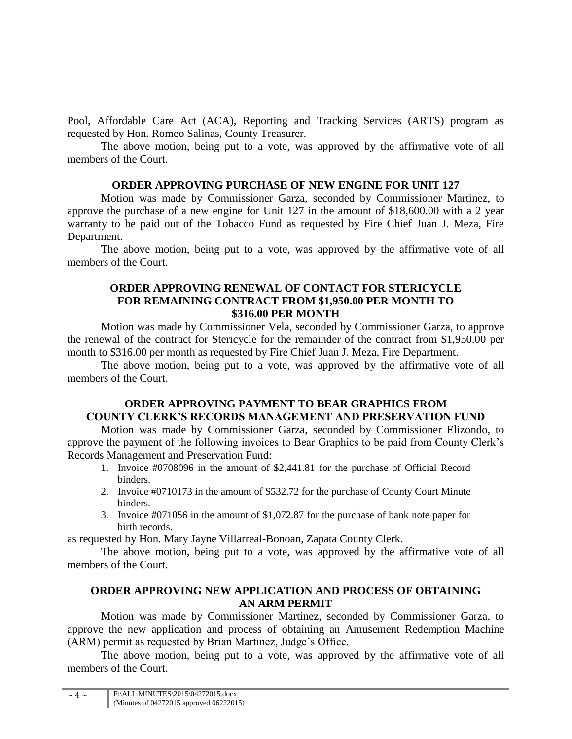Pool, Affordable Care Act (ACA), Reporting and Tracking Services (ARTS) program as requested by Hon. Romeo Salinas, County Treasurer.

The above motion, being put to a vote, was approved by the affirmative vote of all members of the Court.

## **ORDER APPROVING PURCHASE OF NEW ENGINE FOR UNIT 127**

Motion was made by Commissioner Garza, seconded by Commissioner Martinez, to approve the purchase of a new engine for Unit 127 in the amount of \$18,600.00 with a 2 year warranty to be paid out of the Tobacco Fund as requested by Fire Chief Juan J. Meza, Fire Department.

The above motion, being put to a vote, was approved by the affirmative vote of all members of the Court.

## **ORDER APPROVING RENEWAL OF CONTACT FOR STERICYCLE FOR REMAINING CONTRACT FROM \$1,950.00 PER MONTH TO \$316.00 PER MONTH**

Motion was made by Commissioner Vela, seconded by Commissioner Garza, to approve the renewal of the contract for Stericycle for the remainder of the contract from \$1,950.00 per month to \$316.00 per month as requested by Fire Chief Juan J. Meza, Fire Department.

The above motion, being put to a vote, was approved by the affirmative vote of all members of the Court.

# **ORDER APPROVING PAYMENT TO BEAR GRAPHICS FROM COUNTY CLERK'S RECORDS MANAGEMENT AND PRESERVATION FUND**

Motion was made by Commissioner Garza, seconded by Commissioner Elizondo, to approve the payment of the following invoices to Bear Graphics to be paid from County Clerk's Records Management and Preservation Fund:

- 1. Invoice #0708096 in the amount of \$2,441.81 for the purchase of Official Record binders.
- 2. Invoice #0710173 in the amount of \$532.72 for the purchase of County Court Minute binders.
- 3. Invoice #071056 in the amount of \$1,072.87 for the purchase of bank note paper for birth records.

as requested by Hon. Mary Jayne Villarreal-Bonoan, Zapata County Clerk.

The above motion, being put to a vote, was approved by the affirmative vote of all members of the Court.

# **ORDER APPROVING NEW APPLICATION AND PROCESS OF OBTAINING AN ARM PERMIT**

Motion was made by Commissioner Martinez, seconded by Commissioner Garza, to approve the new application and process of obtaining an Amusement Redemption Machine (ARM) permit as requested by Brian Martinez, Judge's Office.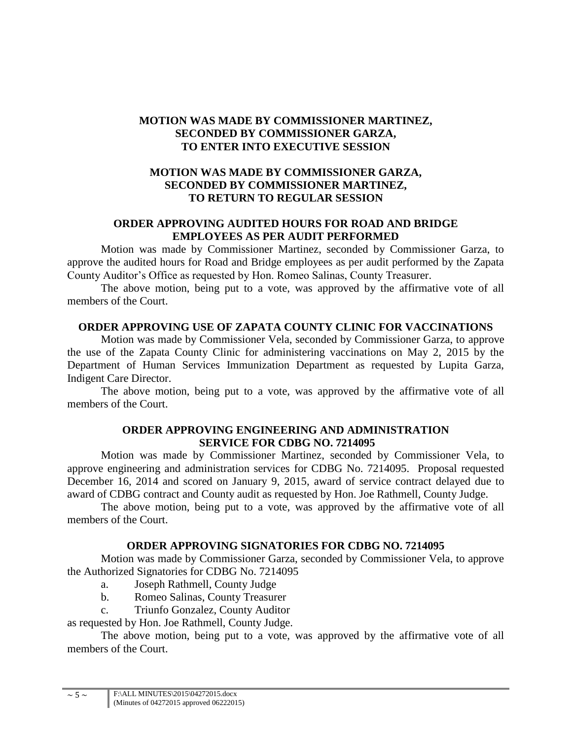# **MOTION WAS MADE BY COMMISSIONER MARTINEZ, SECONDED BY COMMISSIONER GARZA, TO ENTER INTO EXECUTIVE SESSION**

# **MOTION WAS MADE BY COMMISSIONER GARZA, SECONDED BY COMMISSIONER MARTINEZ, TO RETURN TO REGULAR SESSION**

## **ORDER APPROVING AUDITED HOURS FOR ROAD AND BRIDGE EMPLOYEES AS PER AUDIT PERFORMED**

Motion was made by Commissioner Martinez, seconded by Commissioner Garza, to approve the audited hours for Road and Bridge employees as per audit performed by the Zapata County Auditor's Office as requested by Hon. Romeo Salinas, County Treasurer.

The above motion, being put to a vote, was approved by the affirmative vote of all members of the Court.

## **ORDER APPROVING USE OF ZAPATA COUNTY CLINIC FOR VACCINATIONS**

Motion was made by Commissioner Vela, seconded by Commissioner Garza, to approve the use of the Zapata County Clinic for administering vaccinations on May 2, 2015 by the Department of Human Services Immunization Department as requested by Lupita Garza, Indigent Care Director.

The above motion, being put to a vote, was approved by the affirmative vote of all members of the Court.

#### **ORDER APPROVING ENGINEERING AND ADMINISTRATION SERVICE FOR CDBG NO. 7214095**

Motion was made by Commissioner Martinez, seconded by Commissioner Vela, to approve engineering and administration services for CDBG No. 7214095. Proposal requested December 16, 2014 and scored on January 9, 2015, award of service contract delayed due to award of CDBG contract and County audit as requested by Hon. Joe Rathmell, County Judge.

The above motion, being put to a vote, was approved by the affirmative vote of all members of the Court.

# **ORDER APPROVING SIGNATORIES FOR CDBG NO. 7214095**

Motion was made by Commissioner Garza, seconded by Commissioner Vela, to approve the Authorized Signatories for CDBG No. 7214095

- a. Joseph Rathmell, County Judge
- b. Romeo Salinas, County Treasurer
- c. Triunfo Gonzalez, County Auditor

as requested by Hon. Joe Rathmell, County Judge.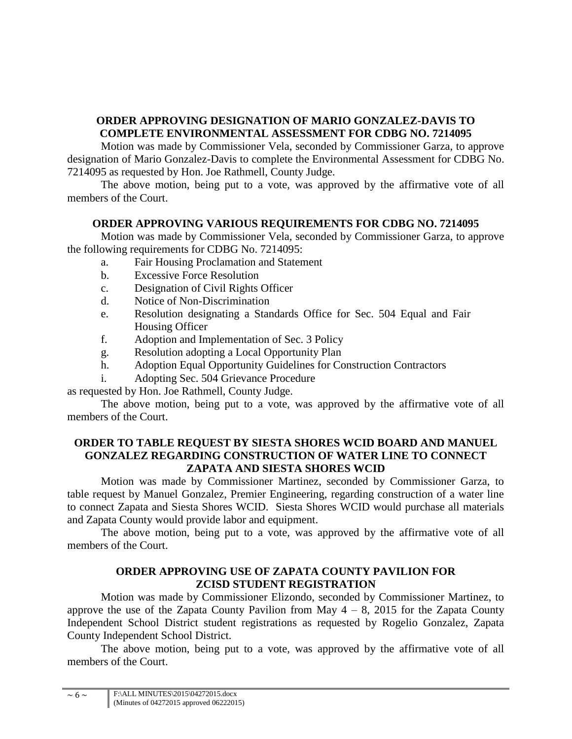# **ORDER APPROVING DESIGNATION OF MARIO GONZALEZ-DAVIS TO COMPLETE ENVIRONMENTAL ASSESSMENT FOR CDBG NO. 7214095**

Motion was made by Commissioner Vela, seconded by Commissioner Garza, to approve designation of Mario Gonzalez-Davis to complete the Environmental Assessment for CDBG No. 7214095 as requested by Hon. Joe Rathmell, County Judge.

The above motion, being put to a vote, was approved by the affirmative vote of all members of the Court.

# **ORDER APPROVING VARIOUS REQUIREMENTS FOR CDBG NO. 7214095**

Motion was made by Commissioner Vela, seconded by Commissioner Garza, to approve the following requirements for CDBG No. 7214095:

- a. Fair Housing Proclamation and Statement
- b. Excessive Force Resolution
- c. Designation of Civil Rights Officer
- d. Notice of Non-Discrimination
- e. Resolution designating a Standards Office for Sec. 504 Equal and Fair Housing Officer
- f. Adoption and Implementation of Sec. 3 Policy
- g. Resolution adopting a Local Opportunity Plan
- h. Adoption Equal Opportunity Guidelines for Construction Contractors
- i. Adopting Sec. 504 Grievance Procedure

as requested by Hon. Joe Rathmell, County Judge.

The above motion, being put to a vote, was approved by the affirmative vote of all members of the Court.

## **ORDER TO TABLE REQUEST BY SIESTA SHORES WCID BOARD AND MANUEL GONZALEZ REGARDING CONSTRUCTION OF WATER LINE TO CONNECT ZAPATA AND SIESTA SHORES WCID**

Motion was made by Commissioner Martinez, seconded by Commissioner Garza, to table request by Manuel Gonzalez, Premier Engineering, regarding construction of a water line to connect Zapata and Siesta Shores WCID. Siesta Shores WCID would purchase all materials and Zapata County would provide labor and equipment.

The above motion, being put to a vote, was approved by the affirmative vote of all members of the Court.

# **ORDER APPROVING USE OF ZAPATA COUNTY PAVILION FOR ZCISD STUDENT REGISTRATION**

Motion was made by Commissioner Elizondo, seconded by Commissioner Martinez, to approve the use of the Zapata County Pavilion from May  $4 - 8$ , 2015 for the Zapata County Independent School District student registrations as requested by Rogelio Gonzalez, Zapata County Independent School District.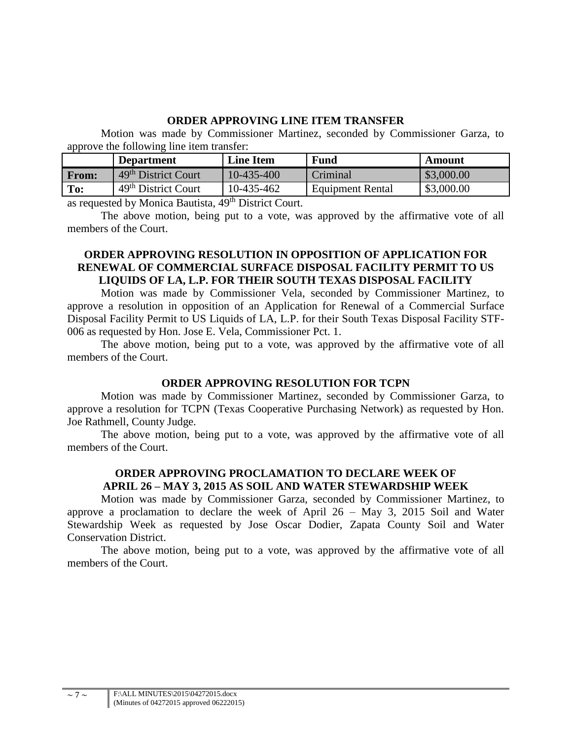## **ORDER APPROVING LINE ITEM TRANSFER**

Motion was made by Commissioner Martinez, seconded by Commissioner Garza, to approve the following line item transfer:

|              | <b>Department</b>                     | <b>Line Item</b> | <b>Fund</b>             | Amount     |
|--------------|---------------------------------------|------------------|-------------------------|------------|
| <b>From:</b> | 49 <sup>th</sup> District Court       | 10-435-400       | Criminal                | \$3,000.00 |
| To:          | $\pm$ 49 <sup>th</sup> District Court | 10-435-462       | <b>Equipment Rental</b> | \$3,000.00 |

as requested by Monica Bautista, 49<sup>th</sup> District Court.

The above motion, being put to a vote, was approved by the affirmative vote of all members of the Court.

## **ORDER APPROVING RESOLUTION IN OPPOSITION OF APPLICATION FOR RENEWAL OF COMMERCIAL SURFACE DISPOSAL FACILITY PERMIT TO US LIQUIDS OF LA, L.P. FOR THEIR SOUTH TEXAS DISPOSAL FACILITY**

Motion was made by Commissioner Vela, seconded by Commissioner Martinez, to approve a resolution in opposition of an Application for Renewal of a Commercial Surface Disposal Facility Permit to US Liquids of LA, L.P. for their South Texas Disposal Facility STF-006 as requested by Hon. Jose E. Vela, Commissioner Pct. 1.

The above motion, being put to a vote, was approved by the affirmative vote of all members of the Court.

#### **ORDER APPROVING RESOLUTION FOR TCPN**

Motion was made by Commissioner Martinez, seconded by Commissioner Garza, to approve a resolution for TCPN (Texas Cooperative Purchasing Network) as requested by Hon. Joe Rathmell, County Judge.

The above motion, being put to a vote, was approved by the affirmative vote of all members of the Court.

## **ORDER APPROVING PROCLAMATION TO DECLARE WEEK OF APRIL 26 – MAY 3, 2015 AS SOIL AND WATER STEWARDSHIP WEEK**

Motion was made by Commissioner Garza, seconded by Commissioner Martinez, to approve a proclamation to declare the week of April 26 – May 3, 2015 Soil and Water Stewardship Week as requested by Jose Oscar Dodier, Zapata County Soil and Water Conservation District.